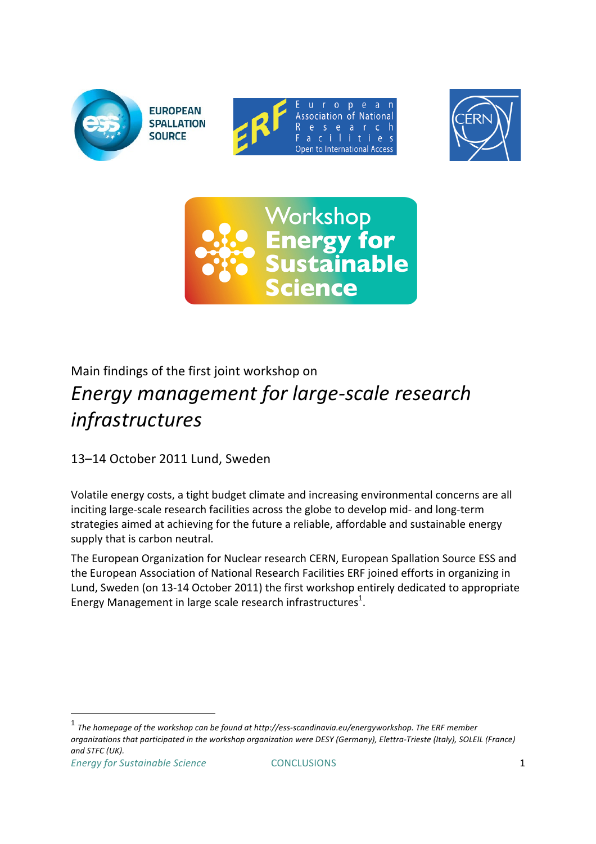





# Main findings of the first joint workshop on **Energy management for large-scale research** *infrastructures*

13-14 October 2011 Lund, Sweden

Volatile energy costs, a tight budget climate and increasing environmental concerns are all inciting large-scale research facilities across the globe to develop mid- and long-term strategies aimed at achieving for the future a reliable, affordable and sustainable energy supply that is carbon neutral.

The European Organization for Nuclear research CERN, European Spallation Source ESS and the European Association of National Research Facilities ERF joined efforts in organizing in Lund, Sweden (on 13-14 October 2011) the first workshop entirely dedicated to appropriate Energy Management in large scale research infrastructures<sup>1</sup>.

 $<sup>1</sup>$  The homepage of the workshop can be found at http://ess-scandinavia.eu/energyworkshop. The ERF member</sup> *organizations'that'participated'in'the'workshop'organization'were'DESY'(Germany),'Elettra4Trieste'(Italy),'SOLEIL (France) and'STFC'(UK).*

!!!!!!!!!!!!!!!!!!!!!!!!!!!!!!!!!!!!!!!!!!!!!!!!!!!!!!!!!!!!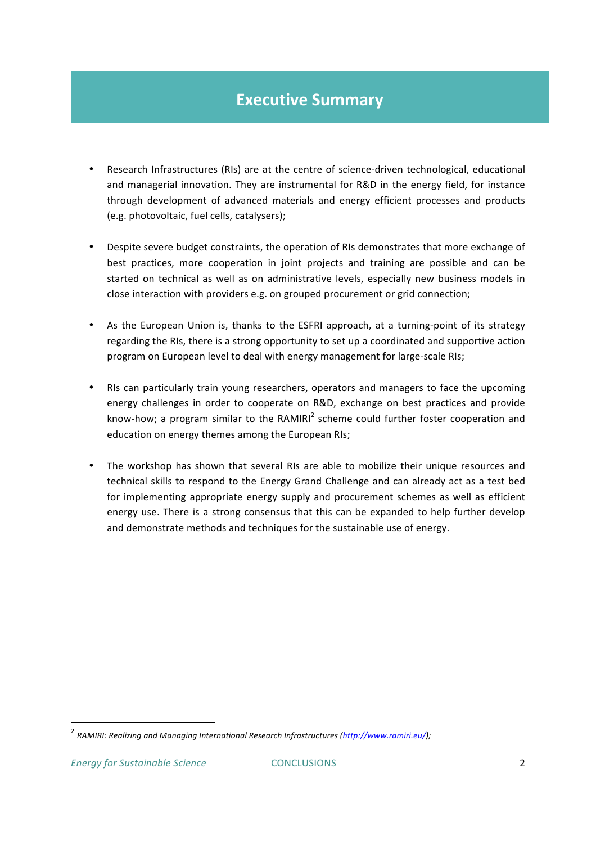### **Executive Summary**

- Research Infrastructures (RIs) are at the centre of science-driven technological, educational and managerial innovation. They are instrumental for R&D in the energy field, for instance through development of advanced materials and energy efficient processes and products (e.g. photovoltaic, fuel cells, catalysers);
- Despite severe budget constraints, the operation of RIs demonstrates that more exchange of best practices, more cooperation in joint projects and training are possible and can be started on technical as well as on administrative levels, especially new business models in close interaction with providers e.g. on grouped procurement or grid connection;
- As the European Union is, thanks to the ESFRI approach, at a turning-point of its strategy regarding the RIs, there is a strong opportunity to set up a coordinated and supportive action program on European level to deal with energy management for large-scale RIs;
- RIs can particularly train young researchers, operators and managers to face the upcoming energy challenges in order to cooperate on R&D, exchange on best practices and provide know-how; a program similar to the RAMIRI<sup>2</sup> scheme could further foster cooperation and education on energy themes among the European RIs;
- The workshop has shown that several RIs are able to mobilize their unique resources and technical skills to respond to the Energy Grand Challenge and can already act as a test bed for implementing appropriate energy supply and procurement schemes as well as efficient energy use. There is a strong consensus that this can be expanded to help further develop and demonstrate methods and techniques for the sustainable use of energy.

!!!!!!!!!!!!!!!!!!!!!!!!!!!!!!!!!!!!!!!!!!!!!!!!!!!!!!!!!!!!

<sup>&</sup>lt;sup>2</sup> RAMIRI: Realizing and Managing International Research Infrastructures (http://www.ramiri.eu/);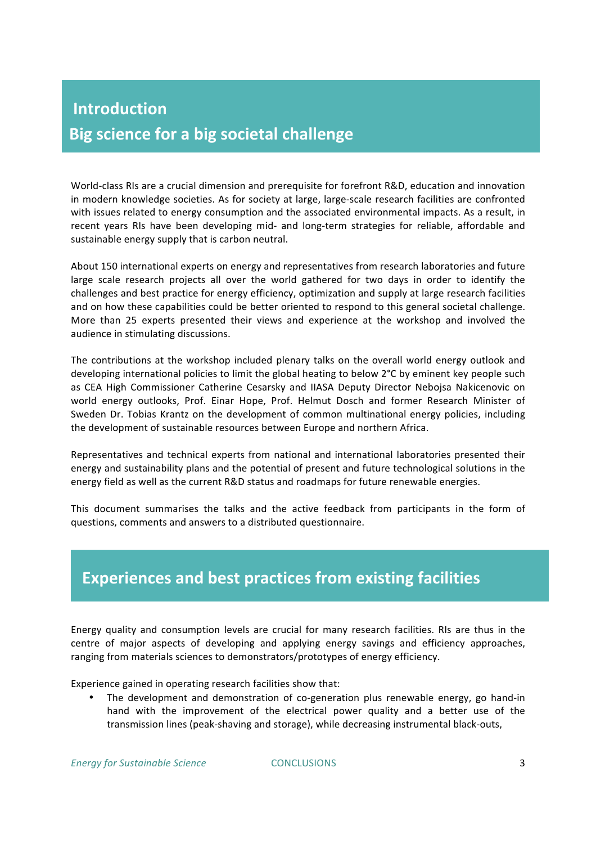# **Introduction Big science for a big societal challenge**

World-class RIs are a crucial dimension and prerequisite for forefront R&D, education and innovation in modern knowledge societies. As for society at large, large-scale research facilities are confronted with issues related to energy consumption and the associated environmental impacts. As a result, in recent years RIs have been developing mid- and long-term strategies for reliable, affordable and sustainable energy supply that is carbon neutral.

About 150 international experts on energy and representatives from research laboratories and future large scale research projects all over the world gathered for two days in order to identify the challenges and best practice for energy efficiency, optimization and supply at large research facilities and on how these capabilities could be better oriented to respond to this general societal challenge. More than 25 experts presented their views and experience at the workshop and involved the audience in stimulating discussions.

The contributions at the workshop included plenary talks on the overall world energy outlook and developing international policies to limit the global heating to below 2°C by eminent key people such as CEA High Commissioner Catherine Cesarsky and IIASA Deputy Director Nebojsa Nakicenovic on world energy outlooks, Prof. Einar Hope, Prof. Helmut Dosch and former Research Minister of Sweden Dr. Tobias Krantz on the development of common multinational energy policies, including the development of sustainable resources between Europe and northern Africa.

Representatives and technical experts from national and international laboratories presented their energy and sustainability plans and the potential of present and future technological solutions in the energy field as well as the current R&D status and roadmaps for future renewable energies.

This document summarises the talks and the active feedback from participants in the form of questions, comments and answers to a distributed questionnaire.

## **Experiences and best practices from existing facilities**

Energy quality and consumption levels are crucial for many research facilities. RIs are thus in the centre of major aspects of developing and applying energy savings and efficiency approaches, ranging from materials sciences to demonstrators/prototypes of energy efficiency.

Experience gained in operating research facilities show that:

• The development and demonstration of co-generation plus renewable energy, go hand-in hand with the improvement of the electrical power quality and a better use of the transmission lines (peak-shaving and storage), while decreasing instrumental black-outs,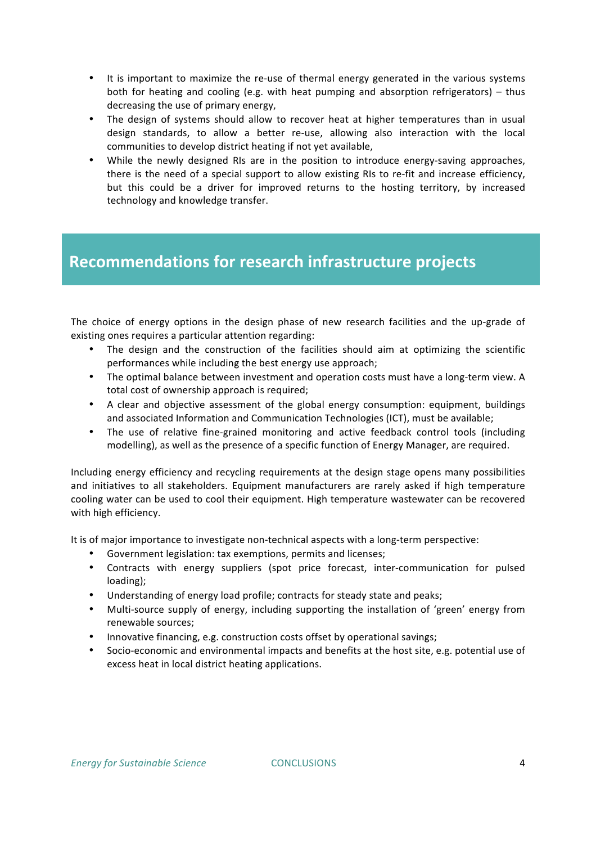- It is important to maximize the re-use of thermal energy generated in the various systems both for heating and cooling (e.g. with heat pumping and absorption refrigerators) – thus decreasing the use of primary energy,
- The design of systems should allow to recover heat at higher temperatures than in usual design standards, to allow a better re-use, allowing also interaction with the local communities to develop district heating if not yet available,
- While the newly designed RIs are in the position to introduce energy-saving approaches, there is the need of a special support to allow existing RIs to re-fit and increase efficiency, but this could be a driver for improved returns to the hosting territory, by increased technology and knowledge transfer.

### Recommendations for research infrastructure projects

The choice of energy options in the design phase of new research facilities and the up-grade of existing ones requires a particular attention regarding:

- The design and the construction of the facilities should aim at optimizing the scientific performances while including the best energy use approach;
- The optimal balance between investment and operation costs must have a long-term view. A total cost of ownership approach is required;
- A clear and objective assessment of the global energy consumption: equipment, buildings and associated Information and Communication Technologies (ICT), must be available;
- The use of relative fine-grained monitoring and active feedback control tools (including modelling), as well as the presence of a specific function of Energy Manager, are required.

Including energy efficiency and recycling requirements at the design stage opens many possibilities and initiatives to all stakeholders. Equipment manufacturers are rarely asked if high temperature cooling water can be used to cool their equipment. High temperature wastewater can be recovered with high efficiency.

It is of major importance to investigate non-technical aspects with a long-term perspective:

- Government legislation: tax exemptions, permits and licenses;
- Contracts with energy suppliers (spot price forecast, inter-communication for pulsed loading);
- Understanding of energy load profile; contracts for steady state and peaks;
- Multi-source supply of energy, including supporting the installation of 'green' energy from renewable sources;
- Innovative financing, e.g. construction costs offset by operational savings;
- Socio-economic and environmental impacts and benefits at the host site, e.g. potential use of excess heat in local district heating applications.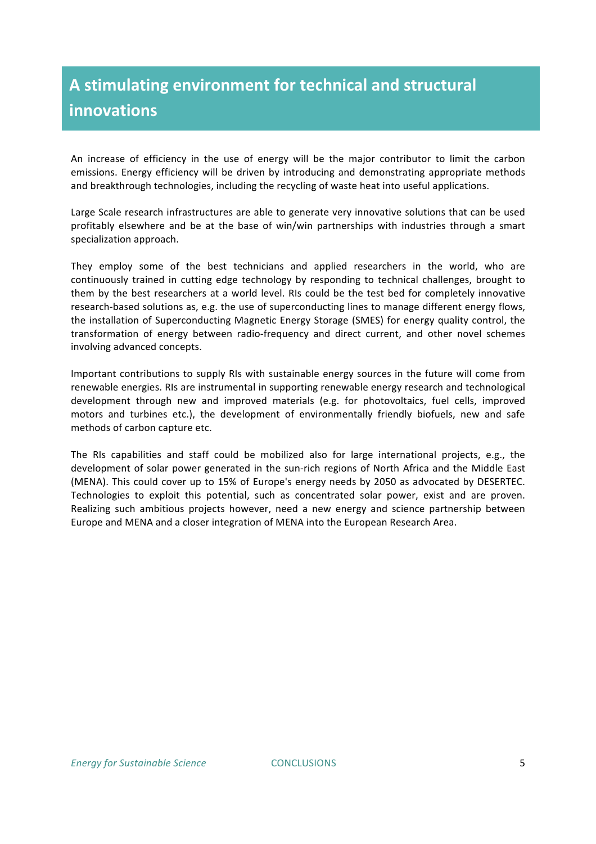# A stimulating environment for technical and structural **innovations**

An increase of efficiency in the use of energy will be the major contributor to limit the carbon emissions. Energy efficiency will be driven by introducing and demonstrating appropriate methods and breakthrough technologies, including the recycling of waste heat into useful applications.

Large Scale research infrastructures are able to generate very innovative solutions that can be used profitably elsewhere and be at the base of win/win partnerships with industries through a smart specialization approach.

They employ some of the best technicians and applied researchers in the world, who are continuously trained in cutting edge technology by responding to technical challenges, brought to them by the best researchers at a world level. RIs could be the test bed for completely innovative research-based solutions as, e.g. the use of superconducting lines to manage different energy flows, the installation of Superconducting Magnetic Energy Storage (SMES) for energy quality control, the transformation of energy between radio-frequency and direct current, and other novel schemes involving advanced concepts.

Important contributions to supply RIs with sustainable energy sources in the future will come from renewable energies. RIs are instrumental in supporting renewable energy research and technological development through new and improved materials (e.g. for photovoltaics, fuel cells, improved motors and turbines etc.), the development of environmentally friendly biofuels, new and safe methods of carbon capture etc.

The RIs capabilities and staff could be mobilized also for large international projects, e.g., the development of solar power generated in the sun-rich regions of North Africa and the Middle East (MENA). This could cover up to 15% of Europe's energy needs by 2050 as advocated by DESERTEC. Technologies to exploit this potential, such as concentrated solar power, exist and are proven. Realizing such ambitious projects however, need a new energy and science partnership between Europe and MENA and a closer integration of MENA into the European Research Area.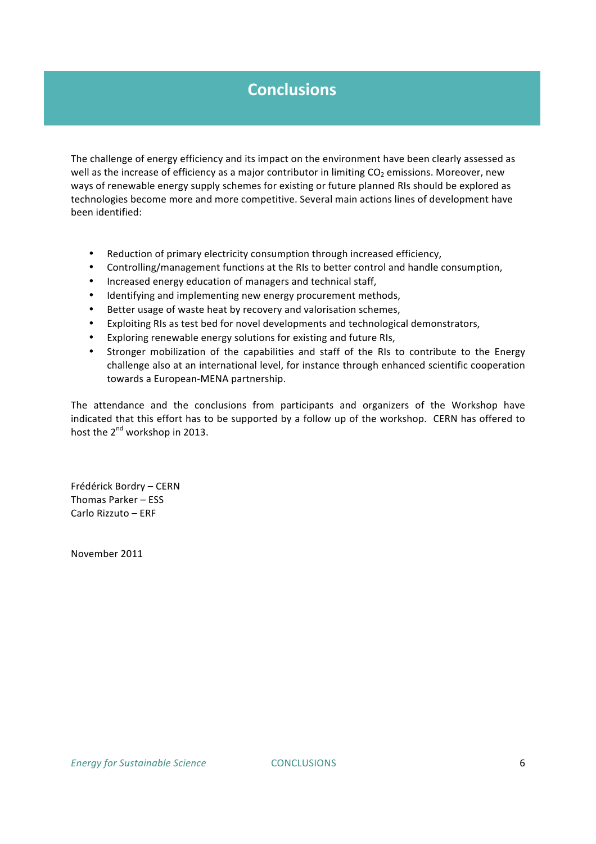## **Conclusions**

The challenge of energy efficiency and its impact on the environment have been clearly assessed as well as the increase of efficiency as a major contributor in limiting CO<sub>2</sub> emissions. Moreover, new ways of renewable energy supply schemes for existing or future planned RIs should be explored as technologies become more and more competitive. Several main actions lines of development have been identified:

- Reduction of primary electricity consumption through increased efficiency,
- Controlling/management functions at the RIs to better control and handle consumption,
- Increased energy education of managers and technical staff,
- Identifying and implementing new energy procurement methods,
- Better usage of waste heat by recovery and valorisation schemes,
- Exploiting RIs as test bed for novel developments and technological demonstrators,
- Exploring renewable energy solutions for existing and future RIs,
- Stronger mobilization of the capabilities and staff of the RIs to contribute to the Energy challenge also at an international level, for instance through enhanced scientific cooperation towards a European-MENA partnership.

The attendance and the conclusions from participants and organizers of the Workshop have indicated that this effort has to be supported by a follow up of the workshop. CERN has offered to host the 2<sup>nd</sup> workshop in 2013.

Frédérick!Bordry – CERN Thomas Parker – ESS Carlo Rizzuto – ERF

November!2011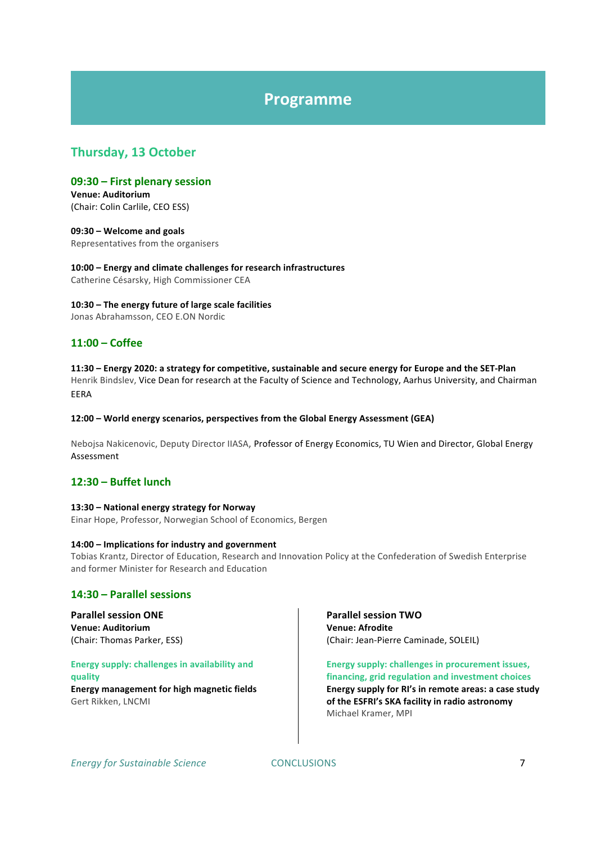### **Programme**

### Thursday, 13 October

#### **09:30)– First)plenary)session)**

**Venue: Auditorium** (Chair: Colin Carlile, CEO ESS)

**09:30)– Welcome)and)goals** Representatives from the organisers

10:00 – Energy and climate challenges for research infrastructures Catherine Césarsky, High Commissioner CEA

10:30 – The energy future of large scale facilities Jonas Abrahamsson, CEO E.ON Nordic

#### **11:00)– Coffee**

**11:30)– Energy)2020:)a)strategy)for)competitive,)sustainable)and)secure)energy)for)Europe)and)the)SETMPlan** Henrik Bindslev, Vice Dean for research at the Faculty of Science and Technology, Aarhus University, and Chairman

EERA

#### 12:00 – World energy scenarios, perspectives from the Global Energy Assessment (GEA)

Nebojsa Nakicenovic, Deputy Director IIASA, Professor of Energy Economics, TU Wien and Director, Global Energy Assessment

#### **12:30)– Buffet)lunch)**

#### 13:30 – National energy strategy for Norway

Einar Hope, Professor, Norwegian School of Economics, Bergen

#### 14:00 – **Implications for industry and government**

Tobias Krantz, Director of Education, Research and Innovation Policy at the Confederation of Swedish Enterprise and former Minister for Research and Education

#### **14:30)– Parallel)sessions**

**Parallel session ONE Venue:)Auditorium** (Chair: Thomas Parker, ESS)

#### **Energy supply: challenges in availability and quality**

**Energy management for high magnetic fields** Gert Rikken, LNCMI

#### **Parallel session TWO Venue:)Afrodite** (Chair: Jean-Pierre Caminade, SOLEIL)

Energy supply: challenges in procurement issues, financing, grid regulation and investment choices Energy supply for RI's in remote areas: a case study of the ESFRI's SKA facility in radio astronomy Michael Kramer, MPI

**Energy for Sustainable Science 5. [20] CONCLUSIONS 7 [20] POST 2012 7 [20] POST 2012 7 [20] POST 2012 7 [20] POST 2012 7 [20] POST 2012 7 [20] POST 2012 10:00 [20] POST 2012 10:00 [20] POST 2012 10:00 [20] POST 2012 10:00**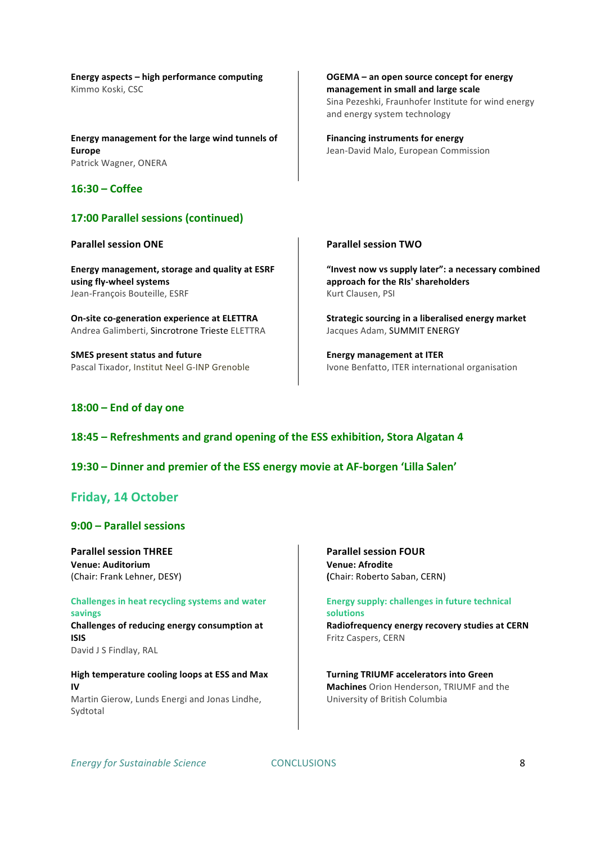Energy aspects – high performance computing Kimmo Koski, CSC

Energy management for the large wind tunnels of **Europe** Patrick Wagner, ONERA

#### **16:30)– Coffee**

#### **17:00 Parallel sessions (continued)**

#### **Parallel session ONE**

Energy management, storage and quality at ESRF using fly-wheel systems Jean-François Bouteille, ESRF

**On-site co-generation experience at ELETTRA** Andrea Galimberti, Sincrotrone Trieste ELETTRA

**SMES** present status and future Pascal Tixador, Institut Neel G-INP Grenoble OGEMA – an open source concept for energy management in small and large scale Sina Pezeshki, Fraunhofer Institute for wind energy

**Financing instruments for energy** Jean-David Malo, European Commission

and energy system technology

#### **Parallel session TWO**

"Invest now vs supply later": a necessary combined approach for the RIs' shareholders Kurt Clausen, PSI

Strategic sourcing in a liberalised energy market Jacques Adam, SUMMIT ENERGY

**Energy management at ITER** Ivone Benfatto, ITER international organisation

#### **18:00)– End)of)day)one**

#### 18:45 – Refreshments and grand opening of the ESS exhibition, Stora Algatan 4

#### 19:30 – Dinner and premier of the ESS energy movie at AF-borgen 'Lilla Salen'

#### Friday, 14 October

#### **9:00)– Parallel)sessions**

**Parallel session THREE Venue: Auditorium** (Chair: Frank Lehner, DESY)

Challenges in heat recycling systems and water **savings)** Challenges of reducing energy consumption at **ISIS** David J S Findlay, RAL

**High temperature cooling loops at ESS and Max IV** Martin Gierow, Lunds Energi and Jonas Lindhe, Sydtotal

**Parallel session FOUR Venue: Afrodite (Chair: Roberto Saban, CERN)** 

**Energy supply: challenges in future technical solutions** Radiofrequency energy recovery studies at CERN Fritz Caspers, CERN

**Turning TRIUMF accelerators into Green Machines** Orion Henderson, TRIUMF and the University of British Columbia

*Energy'for Sustainable Science*!!!!!!!!!!!!!!!!!!!!!!!!!!CONCLUSIONS 8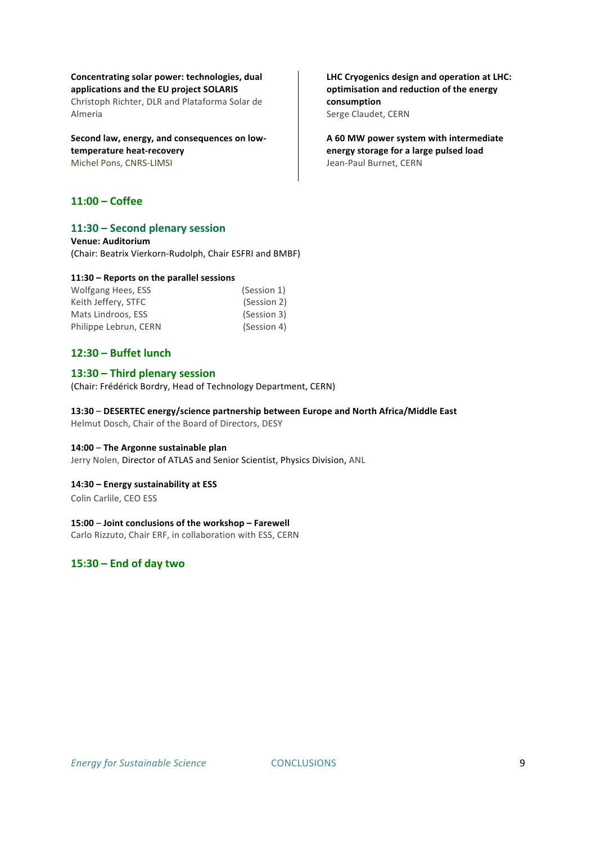#### Concentrating solar power: *technologies*, dual applications and the EU project SOLARIS

Christoph Richter, DLR and Plataforma Solar de Almeria

#### Second law, energy, and consequences on lowtemperature heat-recovery Michel Pons, CNRS-LIMSI

#### **11:00)– Coffee)**

#### 11:30 - Second plenary session

**Venue: Auditorium** (Chair: Beatrix Vierkorn-Rudolph, Chair ESFRI and BMBF)

#### 11:30 – Reports on the parallel sessions

| Wolfgang Hees, ESS    | (Session 1) |
|-----------------------|-------------|
| Keith Jeffery, STFC   | (Session 2) |
| Mats Lindroos, ESS    | (Session 3) |
| Philippe Lebrun, CERN | (Session 4) |

#### **12:30)– Buffet)lunch**

#### **13:30)– Third)plenary)session)**

(Chair: Frédérick Bordry, Head of Technology Department, CERN)

#### 13:30 – DESERTEC energy/science partnership between Europe and North Africa/Middle East

Helmut Dosch, Chair of the Board of Directors, DESY

#### 14:00 – The Argonne sustainable plan

Jerry Nolen, Director of ATLAS and Senior Scientist, Physics Division, ANL

#### 14:30 - **Energy sustainability at ESS**

Colin Carlile, CEO ESS

#### 15:00 – Joint conclusions of the workshop – Farewell

Carlo Rizzuto, Chair ERF, in collaboration with ESS, CERN

#### **15:30)– End)of)day)two)**

LHC Cryogenics design and operation at LHC: optimisation and reduction of the energy **consumption** Serge Claudet, CERN

**A)60)MW)power system)with)intermediate)** energy storage for a large pulsed load Jean-Paul Burnet, CERN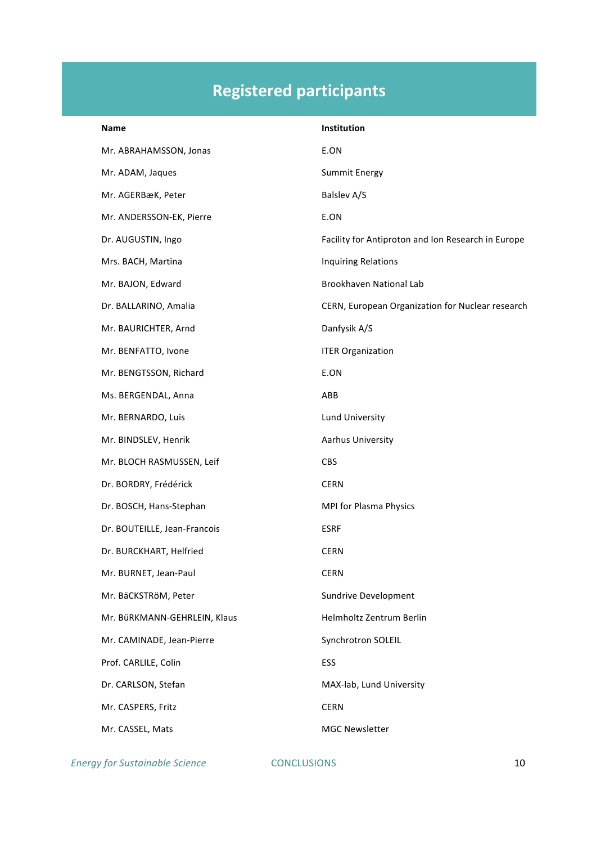# **Registered)participants**

| <b>Name</b>                  | Institution                                        |
|------------------------------|----------------------------------------------------|
| Mr. ABRAHAMSSON, Jonas       | E.ON                                               |
| Mr. ADAM, Jaques             | <b>Summit Energy</b>                               |
| Mr. AGERBæK, Peter           | Balslev A/S                                        |
| Mr. ANDERSSON-EK, Pierre     | E.ON                                               |
| Dr. AUGUSTIN, Ingo           | Facility for Antiproton and Ion Research in Europe |
| Mrs. BACH, Martina           | <b>Inquiring Relations</b>                         |
| Mr. BAJON, Edward            | Brookhaven National Lab                            |
| Dr. BALLARINO, Amalia        | CERN, European Organization for Nuclear research   |
| Mr. BAURICHTER, Arnd         | Danfysik A/S                                       |
| Mr. BENFATTO, Ivone          | <b>ITER Organization</b>                           |
| Mr. BENGTSSON, Richard       | E.ON                                               |
| Ms. BERGENDAL, Anna          | ABB                                                |
| Mr. BERNARDO, Luis           | Lund University                                    |
| Mr. BINDSLEV, Henrik         | Aarhus University                                  |
| Mr. BLOCH RASMUSSEN, Leif    | <b>CBS</b>                                         |
| Dr. BORDRY, Frédérick        | <b>CERN</b>                                        |
| Dr. BOSCH, Hans-Stephan      | MPI for Plasma Physics                             |
| Dr. BOUTEILLE, Jean-Francois | <b>ESRF</b>                                        |
| Dr. BURCKHART, Helfried      | <b>CERN</b>                                        |
| Mr. BURNET, Jean-Paul        | <b>CERN</b>                                        |
| Mr. BäCKSTRöM, Peter         | Sundrive Development                               |
| Mr. BüRKMANN-GEHRLEIN, Klaus | Helmholtz Zentrum Berlin                           |
| Mr. CAMINADE, Jean-Pierre    | Synchrotron SOLEIL                                 |
| Prof. CARLILE, Colin         | ESS                                                |
| Dr. CARLSON, Stefan          | MAX-lab, Lund University                           |
| Mr. CASPERS, Fritz           | <b>CERN</b>                                        |
| Mr. CASSEL, Mats             | <b>MGC Newsletter</b>                              |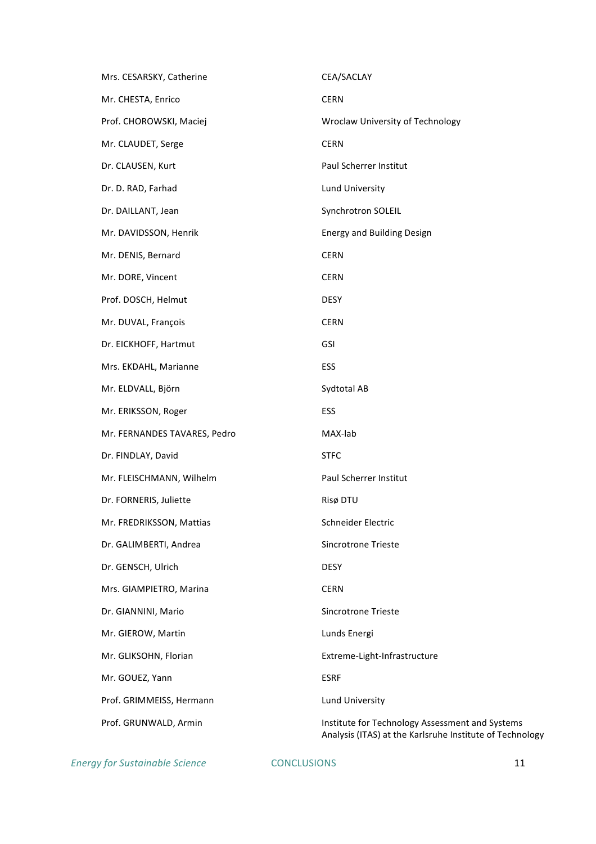| Mrs. CESARSKY, Catherine     | CEA/SACLAY                                                                                                  |
|------------------------------|-------------------------------------------------------------------------------------------------------------|
| Mr. CHESTA, Enrico           | <b>CERN</b>                                                                                                 |
| Prof. CHOROWSKI, Maciej      | Wroclaw University of Technology                                                                            |
| Mr. CLAUDET, Serge           | <b>CERN</b>                                                                                                 |
| Dr. CLAUSEN, Kurt            | Paul Scherrer Institut                                                                                      |
| Dr. D. RAD, Farhad           | Lund University                                                                                             |
| Dr. DAILLANT, Jean           | Synchrotron SOLEIL                                                                                          |
| Mr. DAVIDSSON, Henrik        | <b>Energy and Building Design</b>                                                                           |
| Mr. DENIS, Bernard           | <b>CERN</b>                                                                                                 |
| Mr. DORE, Vincent            | <b>CERN</b>                                                                                                 |
| Prof. DOSCH, Helmut          | <b>DESY</b>                                                                                                 |
| Mr. DUVAL, François          | <b>CERN</b>                                                                                                 |
| Dr. EICKHOFF, Hartmut        | <b>GSI</b>                                                                                                  |
| Mrs. EKDAHL, Marianne        | ESS                                                                                                         |
| Mr. ELDVALL, Björn           | Sydtotal AB                                                                                                 |
| Mr. ERIKSSON, Roger          | <b>ESS</b>                                                                                                  |
| Mr. FERNANDES TAVARES, Pedro | MAX-lab                                                                                                     |
| Dr. FINDLAY, David           | <b>STFC</b>                                                                                                 |
| Mr. FLEISCHMANN, Wilhelm     | Paul Scherrer Institut                                                                                      |
| Dr. FORNERIS, Juliette       | Risø DTU                                                                                                    |
| Mr. FREDRIKSSON, Mattias     | Schneider Electric                                                                                          |
| Dr. GALIMBERTI, Andrea       | <b>Sincrotrone Trieste</b>                                                                                  |
| Dr. GENSCH, Ulrich           | <b>DESY</b>                                                                                                 |
| Mrs. GIAMPIETRO, Marina      | <b>CERN</b>                                                                                                 |
| Dr. GIANNINI, Mario          | <b>Sincrotrone Trieste</b>                                                                                  |
| Mr. GIEROW, Martin           | Lunds Energi                                                                                                |
| Mr. GLIKSOHN, Florian        | Extreme-Light-Infrastructure                                                                                |
| Mr. GOUEZ, Yann              | <b>ESRF</b>                                                                                                 |
| Prof. GRIMMEISS, Hermann     | <b>Lund University</b>                                                                                      |
| Prof. GRUNWALD, Armin        | Institute for Technology Assessment and Systems<br>Analysis (ITAS) at the Karlsruhe Institute of Technology |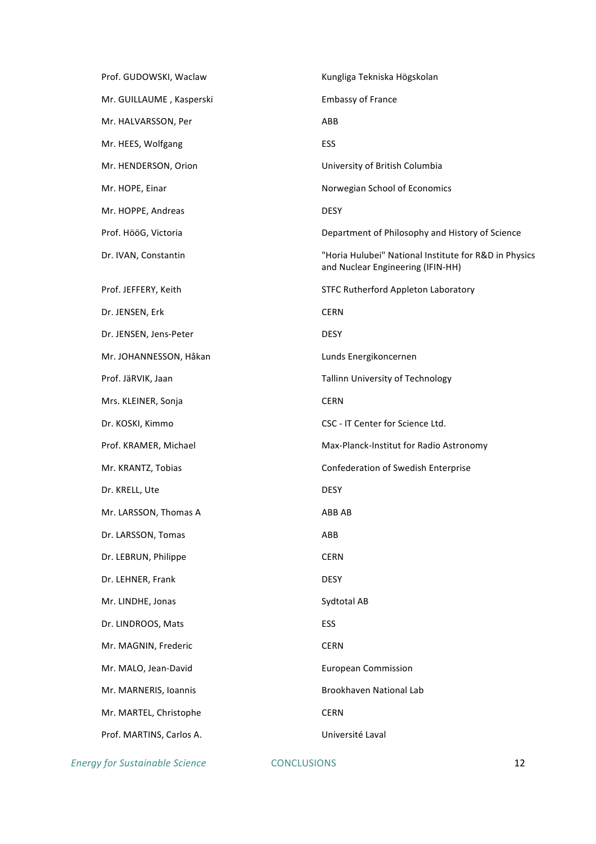| Prof. GUDOWSKI, Waclaw   | Kungliga Tekniska Högskolan                                                                |
|--------------------------|--------------------------------------------------------------------------------------------|
| Mr. GUILLAUME, Kasperski | <b>Embassy of France</b>                                                                   |
| Mr. HALVARSSON, Per      | ABB                                                                                        |
| Mr. HEES, Wolfgang       | ESS                                                                                        |
| Mr. HENDERSON, Orion     | University of British Columbia                                                             |
| Mr. HOPE, Einar          | Norwegian School of Economics                                                              |
| Mr. HOPPE, Andreas       | <b>DESY</b>                                                                                |
| Prof. HööG, Victoria     | Department of Philosophy and History of Science                                            |
| Dr. IVAN, Constantin     | "Horia Hulubei" National Institute for R&D in Physics<br>and Nuclear Engineering (IFIN-HH) |
| Prof. JEFFERY, Keith     | STFC Rutherford Appleton Laboratory                                                        |
| Dr. JENSEN, Erk          | <b>CERN</b>                                                                                |
| Dr. JENSEN, Jens-Peter   | <b>DESY</b>                                                                                |
| Mr. JOHANNESSON, Håkan   | Lunds Energikoncernen                                                                      |
| Prof. JäRVIK, Jaan       | Tallinn University of Technology                                                           |
| Mrs. KLEINER, Sonja      | <b>CERN</b>                                                                                |
| Dr. KOSKI, Kimmo         | CSC - IT Center for Science Ltd.                                                           |
| Prof. KRAMER, Michael    | Max-Planck-Institut for Radio Astronomy                                                    |
| Mr. KRANTZ, Tobias       | Confederation of Swedish Enterprise                                                        |
| Dr. KRELL, Ute           | <b>DESY</b>                                                                                |
| Mr. LARSSON, Thomas A    | ABB AB                                                                                     |
| Dr. LARSSON, Tomas       | ABB                                                                                        |
| Dr. LEBRUN, Philippe     | <b>CERN</b>                                                                                |
| Dr. LEHNER, Frank        | <b>DESY</b>                                                                                |
| Mr. LINDHE, Jonas        | Sydtotal AB                                                                                |
| Dr. LINDROOS, Mats       | <b>ESS</b>                                                                                 |
| Mr. MAGNIN, Frederic     | <b>CERN</b>                                                                                |
| Mr. MALO, Jean-David     | <b>European Commission</b>                                                                 |
| Mr. MARNERIS, Ioannis    | Brookhaven National Lab                                                                    |
| Mr. MARTEL, Christophe   | <b>CERN</b>                                                                                |
| Prof. MARTINS, Carlos A. | Université Laval                                                                           |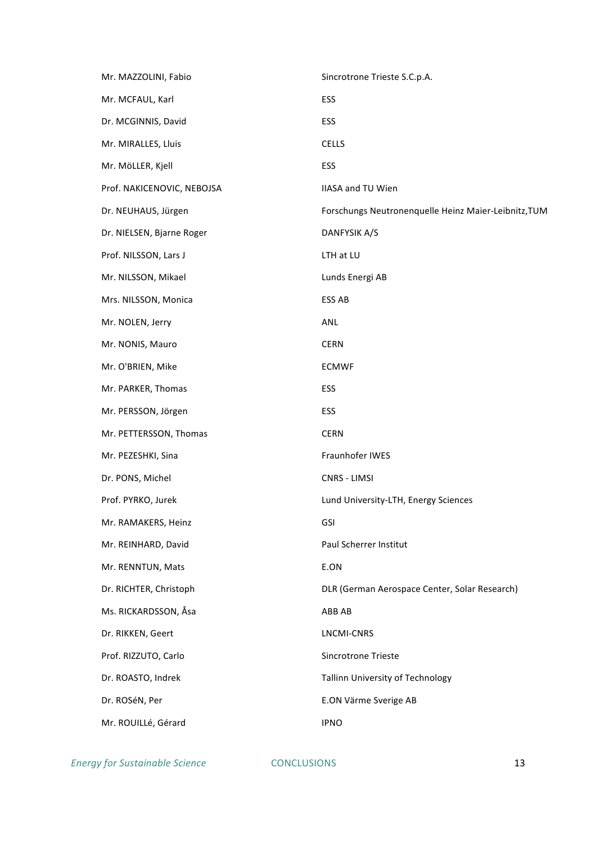| Mr. MAZZOLINI, Fabio       | Sincrotrone Trieste S.C.p.A.                         |
|----------------------------|------------------------------------------------------|
| Mr. MCFAUL, Karl           | ESS                                                  |
| Dr. MCGINNIS, David        | ESS                                                  |
| Mr. MIRALLES, Lluis        | <b>CELLS</b>                                         |
| Mr. MöLLER, Kjell          | ESS                                                  |
| Prof. NAKICENOVIC, NEBOJSA | <b>IIASA and TU Wien</b>                             |
| Dr. NEUHAUS, Jürgen        | Forschungs Neutronenquelle Heinz Maier-Leibnitz, TUM |
| Dr. NIELSEN, Bjarne Roger  | DANFYSIK A/S                                         |
| Prof. NILSSON, Lars J      | LTH at LU                                            |
| Mr. NILSSON, Mikael        | Lunds Energi AB                                      |
| Mrs. NILSSON, Monica       | ESS AB                                               |
| Mr. NOLEN, Jerry           | ANL                                                  |
| Mr. NONIS, Mauro           | <b>CERN</b>                                          |
| Mr. O'BRIEN, Mike          | <b>ECMWF</b>                                         |
| Mr. PARKER, Thomas         | ESS                                                  |
| Mr. PERSSON, Jörgen        | ESS                                                  |
| Mr. PETTERSSON, Thomas     | <b>CERN</b>                                          |
| Mr. PEZESHKI, Sina         | Fraunhofer IWES                                      |
| Dr. PONS, Michel           | CNRS - LIMSI                                         |
| Prof. PYRKO, Jurek         | Lund University-LTH, Energy Sciences                 |
| Mr. RAMAKERS, Heinz        | GSI                                                  |
| Mr. REINHARD, David        | Paul Scherrer Institut                               |
| Mr. RENNTUN, Mats          | E.ON                                                 |
| Dr. RICHTER, Christoph     | DLR (German Aerospace Center, Solar Research)        |
| Ms. RICKARDSSON, Åsa       | ABB AB                                               |
| Dr. RIKKEN, Geert          | LNCMI-CNRS                                           |
| Prof. RIZZUTO, Carlo       | Sincrotrone Trieste                                  |
| Dr. ROASTO, Indrek         | Tallinn University of Technology                     |
| Dr. ROSéN, Per             | E.ON Värme Sverige AB                                |
| Mr. ROUILLé, Gérard        | <b>IPNO</b>                                          |